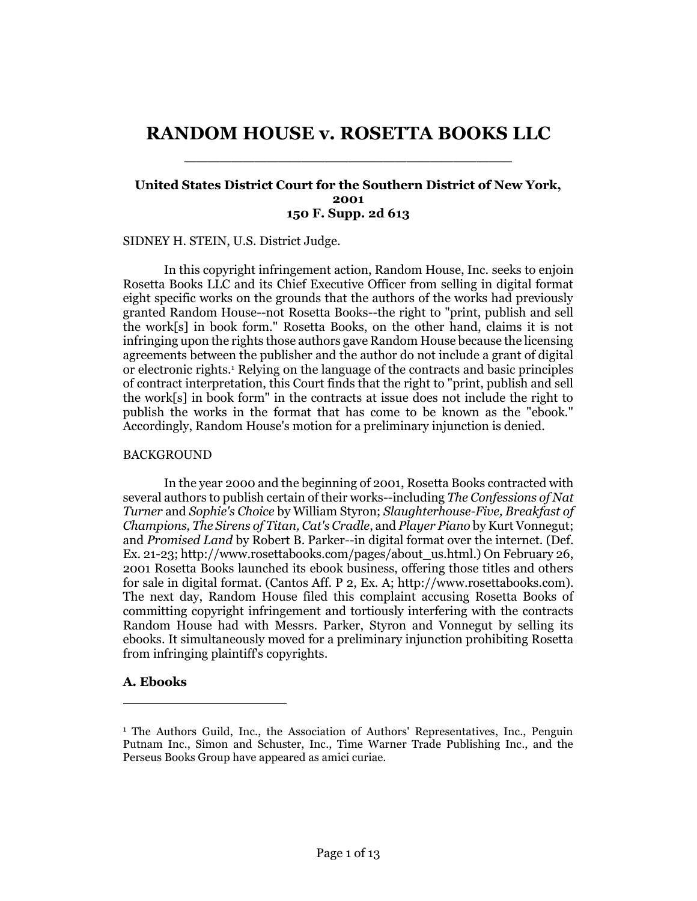# **RANDOM HOUSE v. ROSETTA BOOKS LLC** \_\_\_\_\_\_\_\_\_\_\_\_\_\_\_\_\_\_\_\_\_\_\_\_\_\_\_\_

### **United States District Court for the Southern District of New York, 2001 150 F. Supp. 2d 613**

SIDNEY H. STEIN, U.S. District Judge.

In this copyright infringement action, Random House, Inc. seeks to enjoin Rosetta Books LLC and its Chief Executive Officer from selling in digital format eight specific works on the grounds that the authors of the works had previously granted Random House--not Rosetta Books--the right to "print, publish and sell the work[s] in book form." Rosetta Books, on the other hand, claims it is not infringing upon the rights those authors gave Random House because the licensing agreements between the publisher and the author do not include a grant of digital or electronic rights.<sup>1</sup> Relying on the language of the contracts and basic principles of contract interpretation, this Court finds that the right to "print, publish and sell the work[s] in book form" in the contracts at issue does not include the right to publish the works in the format that has come to be known as the "ebook." Accordingly, Random House's motion for a preliminary injunction is denied.

#### BACKGROUND

In the year 2000 and the beginning of 2001, Rosetta Books contracted with several authors to publish certain of their works--including *The Confessions of Nat Turner* and *Sophie's Choice* by William Styron; *Slaughterhouse-Five, Breakfast of Champions, The Sirens of Titan, Cat's Cradle*, and *Player Piano* by Kurt Vonnegut; and *Promised Land* by Robert B. Parker--in digital format over the internet. (Def. Ex. 21-23; http://www.rosettabooks.com/pages/about\_us.html.) On February 26, 2001 Rosetta Books launched its ebook business, offering those titles and others for sale in digital format. (Cantos Aff. P 2, Ex. A; http://www.rosettabooks.com). The next day, Random House filed this complaint accusing Rosetta Books of committing copyright infringement and tortiously interfering with the contracts Random House had with Messrs. Parker, Styron and Vonnegut by selling its ebooks. It simultaneously moved for a preliminary injunction prohibiting Rosetta from infringing plaintiff's copyrights.

## **A. Ebooks**

 $\overline{a}$ 

<sup>1</sup> The Authors Guild, Inc., the Association of Authors' Representatives, Inc., Penguin Putnam Inc., Simon and Schuster, Inc., Time Warner Trade Publishing Inc., and the Perseus Books Group have appeared as amici curiae.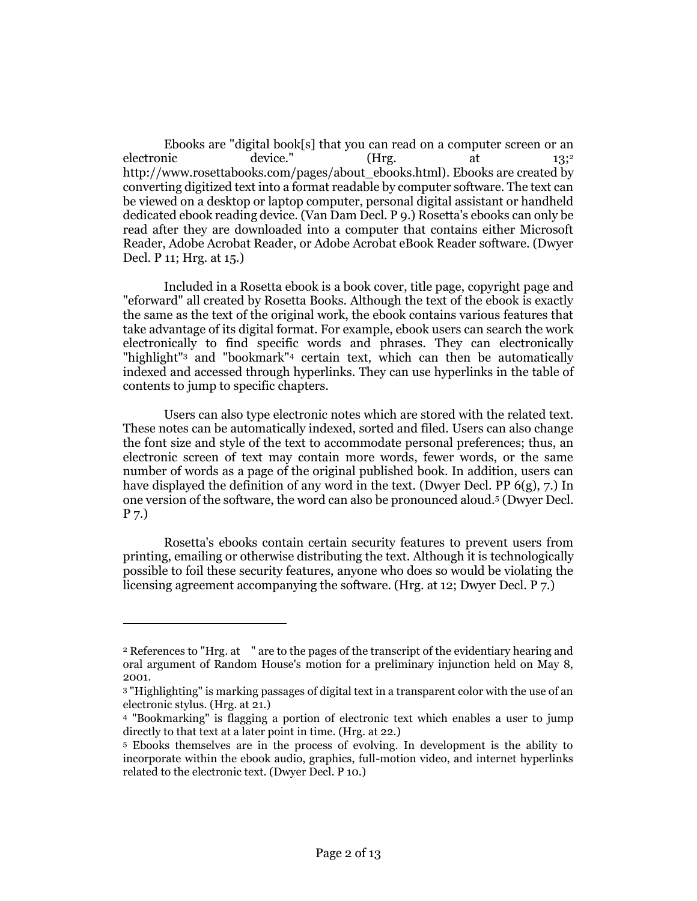Ebooks are "digital book[s] that you can read on a computer screen or an electronic device." (Hrg. at 13;<sup>2</sup> http://www.rosettabooks.com/pages/about\_ebooks.html). Ebooks are created by converting digitized text into a format readable by computer software. The text can be viewed on a desktop or laptop computer, personal digital assistant or handheld dedicated ebook reading device. (Van Dam Decl. P 9.) Rosetta's ebooks can only be read after they are downloaded into a computer that contains either Microsoft Reader, Adobe Acrobat Reader, or Adobe Acrobat eBook Reader software. (Dwyer Decl. P 11; Hrg. at 15.)

Included in a Rosetta ebook is a book cover, title page, copyright page and "eforward" all created by Rosetta Books. Although the text of the ebook is exactly the same as the text of the original work, the ebook contains various features that take advantage of its digital format. For example, ebook users can search the work electronically to find specific words and phrases. They can electronically "highlight"<sup>3</sup> and "bookmark"<sup>4</sup> certain text, which can then be automatically indexed and accessed through hyperlinks. They can use hyperlinks in the table of contents to jump to specific chapters.

Users can also type electronic notes which are stored with the related text. These notes can be automatically indexed, sorted and filed. Users can also change the font size and style of the text to accommodate personal preferences; thus, an electronic screen of text may contain more words, fewer words, or the same number of words as a page of the original published book. In addition, users can have displayed the definition of any word in the text. (Dwyer Decl. PP  $6(g)$ , 7.) In one version of the software, the word can also be pronounced aloud.<sup>5</sup> (Dwyer Decl. P 7.)

Rosetta's ebooks contain certain security features to prevent users from printing, emailing or otherwise distributing the text. Although it is technologically possible to foil these security features, anyone who does so would be violating the licensing agreement accompanying the software. (Hrg. at 12; Dwyer Decl. P 7.)

 $\overline{a}$ 

<sup>&</sup>lt;sup>2</sup> References to "Hrg. at " are to the pages of the transcript of the evidentiary hearing and oral argument of Random House's motion for a preliminary injunction held on May 8, 2001.

<sup>3</sup> "Highlighting" is marking passages of digital text in a transparent color with the use of an electronic stylus. (Hrg. at 21.)

<sup>4</sup> "Bookmarking" is flagging a portion of electronic text which enables a user to jump directly to that text at a later point in time. (Hrg. at 22.)

<sup>5</sup> Ebooks themselves are in the process of evolving. In development is the ability to incorporate within the ebook audio, graphics, full-motion video, and internet hyperlinks related to the electronic text. (Dwyer Decl. P 10.)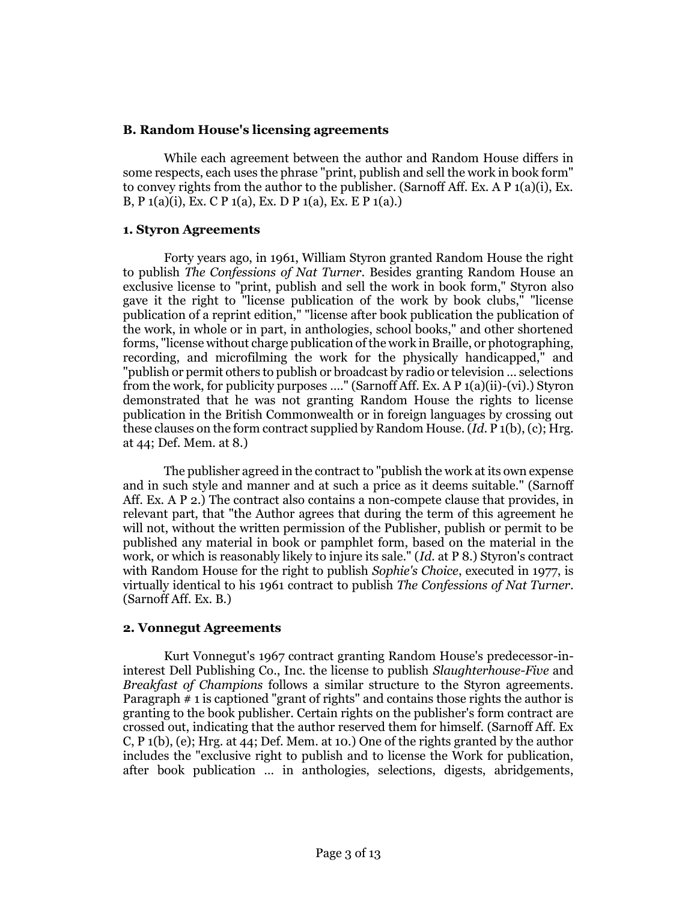## **B. Random House's licensing agreements**

While each agreement between the author and Random House differs in some respects, each uses the phrase "print, publish and sell the work in book form" to convey rights from the author to the publisher. (Sarnoff Aff. Ex. A P 1(a)(i), Ex. B, P 1(a)(i), Ex. C P 1(a), Ex. D P 1(a), Ex. E P 1(a).)

## **1. Styron Agreements**

Forty years ago, in 1961, William Styron granted Random House the right to publish *The Confessions of Nat Turner*. Besides granting Random House an exclusive license to "print, publish and sell the work in book form," Styron also gave it the right to "license publication of the work by book clubs," "license publication of a reprint edition," "license after book publication the publication of the work, in whole or in part, in anthologies, school books," and other shortened forms, "license without charge publication of the work in Braille, or photographing, recording, and microfilming the work for the physically handicapped," and "publish or permit others to publish or broadcast by radio or television … selections from the work, for publicity purposes …." (Sarnoff Aff. Ex. A P 1(a)(ii)-(vi).) Styron demonstrated that he was not granting Random House the rights to license publication in the British Commonwealth or in foreign languages by crossing out these clauses on the form contract supplied by Random House. (*Id*. P 1(b), (c); Hrg. at 44; Def. Mem. at 8.)

The publisher agreed in the contract to "publish the work at its own expense and in such style and manner and at such a price as it deems suitable." (Sarnoff Aff. Ex. A P 2.) The contract also contains a non-compete clause that provides, in relevant part, that "the Author agrees that during the term of this agreement he will not, without the written permission of the Publisher, publish or permit to be published any material in book or pamphlet form, based on the material in the work, or which is reasonably likely to injure its sale." (*Id.* at P 8.) Styron's contract with Random House for the right to publish *Sophie's Choice*, executed in 1977, is virtually identical to his 1961 contract to publish *The Confessions of Nat Turner*. (Sarnoff Aff. Ex. B.)

## **2. Vonnegut Agreements**

Kurt Vonnegut's 1967 contract granting Random House's predecessor-ininterest Dell Publishing Co., Inc. the license to publish *Slaughterhouse-Five* and *Breakfast of Champions* follows a similar structure to the Styron agreements. Paragraph # 1 is captioned "grant of rights" and contains those rights the author is granting to the book publisher. Certain rights on the publisher's form contract are crossed out, indicating that the author reserved them for himself. (Sarnoff Aff. Ex C, P 1(b), (e); Hrg. at 44; Def. Mem. at 10.) One of the rights granted by the author includes the "exclusive right to publish and to license the Work for publication, after book publication … in anthologies, selections, digests, abridgements,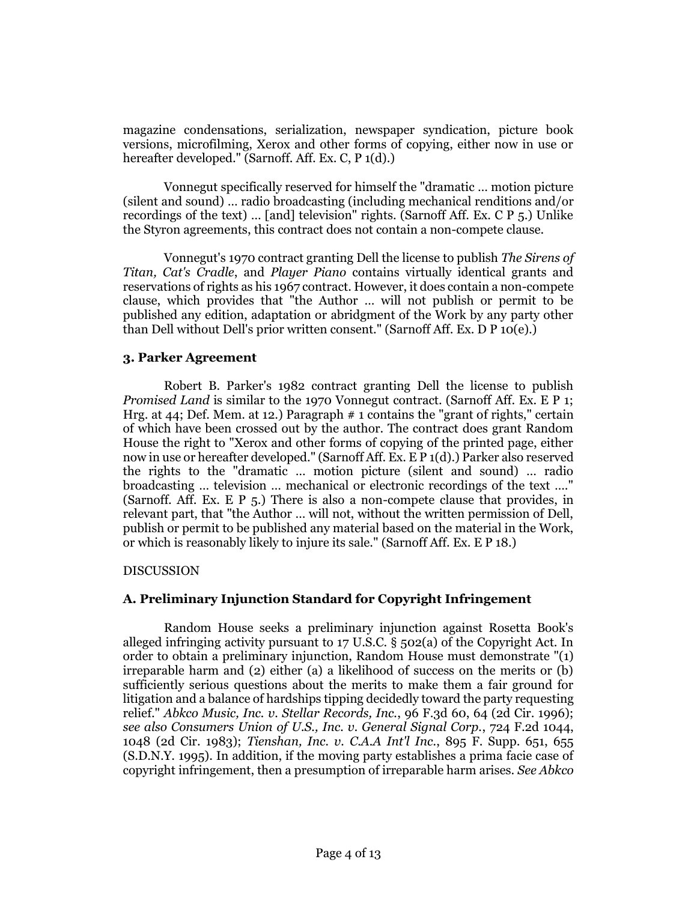magazine condensations, serialization, newspaper syndication, picture book versions, microfilming, Xerox and other forms of copying, either now in use or hereafter developed." (Sarnoff. Aff. Ex. C, P 1(d).)

Vonnegut specifically reserved for himself the "dramatic … motion picture (silent and sound) … radio broadcasting (including mechanical renditions and/or recordings of the text) … [and] television" rights. (Sarnoff Aff. Ex. C P 5.) Unlike the Styron agreements, this contract does not contain a non-compete clause.

Vonnegut's 1970 contract granting Dell the license to publish *The Sirens of Titan, Cat's Cradle*, and *Player Piano* contains virtually identical grants and reservations of rights as his 1967 contract. However, it does contain a non-compete clause, which provides that "the Author … will not publish or permit to be published any edition, adaptation or abridgment of the Work by any party other than Dell without Dell's prior written consent." (Sarnoff Aff. Ex. D P 10(e).)

## **3. Parker Agreement**

Robert B. Parker's 1982 contract granting Dell the license to publish *Promised Land* is similar to the 1970 Vonnegut contract. (Sarnoff Aff. Ex. E P 1; Hrg. at 44; Def. Mem. at 12.) Paragraph  $# 1$  contains the "grant of rights," certain of which have been crossed out by the author. The contract does grant Random House the right to "Xerox and other forms of copying of the printed page, either now in use or hereafter developed." (Sarnoff Aff. Ex. E P 1(d).) Parker also reserved the rights to the "dramatic … motion picture (silent and sound) … radio broadcasting … television … mechanical or electronic recordings of the text …." (Sarnoff. Aff. Ex. E P 5.) There is also a non-compete clause that provides, in relevant part, that "the Author … will not, without the written permission of Dell, publish or permit to be published any material based on the material in the Work, or which is reasonably likely to injure its sale." (Sarnoff Aff. Ex. E P 18.)

#### DISCUSSION

## **A. Preliminary Injunction Standard for Copyright Infringement**

Random House seeks a preliminary injunction against Rosetta Book's alleged infringing activity pursuant to  $17 \text{ U.S.C.}$  §  $502(a)$  of the Copyright Act. In order to obtain a preliminary injunction, Random House must demonstrate "(1) irreparable harm and (2) either (a) a likelihood of success on the merits or (b) sufficiently serious questions about the merits to make them a fair ground for litigation and a balance of hardships tipping decidedly toward the party requesting relief." *Abkco Music, Inc. v. Stellar Records, Inc.*, 96 F.3d 60, 64 (2d Cir. 1996); *see also Consumers Union of U.S., Inc. v. General Signal Corp.*, 724 F.2d 1044, 1048 (2d Cir. 1983); *Tienshan, Inc. v. C.A.A Int'l Inc.*, 895 F. Supp. 651, 655 (S.D.N.Y. 1995). In addition, if the moving party establishes a prima facie case of copyright infringement, then a presumption of irreparable harm arises. *See Abkco*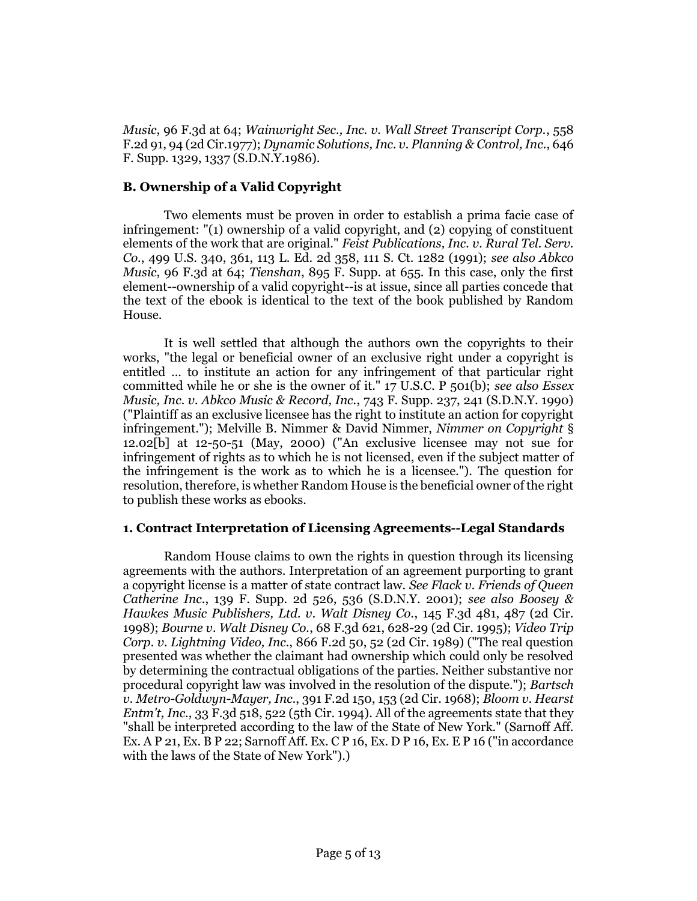*Music*, 96 F.3d at 64; *Wainwright Sec., Inc. v. Wall Street Transcript Corp.*, 558 F.2d 91, 94 (2d Cir.1977); *Dynamic Solutions, Inc. v. Planning & Control, Inc.*, 646 F. Supp. 1329, 1337 (S.D.N.Y.1986).

# **B. Ownership of a Valid Copyright**

Two elements must be proven in order to establish a prima facie case of infringement: "(1) ownership of a valid copyright, and (2) copying of constituent elements of the work that are original." *Feist Publications, Inc. v. Rural Tel. Serv. Co.*, 499 U.S. 340, 361, 113 L. Ed. 2d 358, 111 S. Ct. 1282 (1991); *see also Abkco Music*, 96 F.3d at 64; *Tienshan*, 895 F. Supp. at 655. In this case, only the first element--ownership of a valid copyright--is at issue, since all parties concede that the text of the ebook is identical to the text of the book published by Random House.

It is well settled that although the authors own the copyrights to their works, "the legal or beneficial owner of an exclusive right under a copyright is entitled … to institute an action for any infringement of that particular right committed while he or she is the owner of it." 17 U.S.C. P 501(b); *see also Essex Music, Inc. v. Abkco Music & Record, Inc.*, 743 F. Supp. 237, 241 (S.D.N.Y. 1990) ("Plaintiff as an exclusive licensee has the right to institute an action for copyright infringement."); Melville B. Nimmer & David Nimmer, *Nimmer on Copyright* § 12.02[b] at 12-50-51 (May, 2000) ("An exclusive licensee may not sue for infringement of rights as to which he is not licensed, even if the subject matter of the infringement is the work as to which he is a licensee."). The question for resolution, therefore, is whether Random House is the beneficial owner of the right to publish these works as ebooks.

## **1. Contract Interpretation of Licensing Agreements--Legal Standards**

Random House claims to own the rights in question through its licensing agreements with the authors. Interpretation of an agreement purporting to grant a copyright license is a matter of state contract law. *See Flack v. Friends of Queen Catherine Inc.*, 139 F. Supp. 2d 526, 536 (S.D.N.Y. 2001); *see also Boosey & Hawkes Music Publishers, Ltd. v. Walt Disney Co.*, 145 F.3d 481, 487 (2d Cir. 1998); *Bourne v. Walt Disney Co.*, 68 F.3d 621, 628-29 (2d Cir. 1995); *Video Trip Corp. v. Lightning Video, Inc.*, 866 F.2d 50, 52 (2d Cir. 1989) ("The real question presented was whether the claimant had ownership which could only be resolved by determining the contractual obligations of the parties. Neither substantive nor procedural copyright law was involved in the resolution of the dispute."); *Bartsch v. Metro-Goldwyn-Mayer, Inc.*, 391 F.2d 150, 153 (2d Cir. 1968); *Bloom v. Hearst Entm't, Inc.*, 33 F.3d  $\overline{518}$ ,  $\overline{522}$  ( $\overline{516}$  Cir. 1994). All of the agreements state that they "shall be interpreted according to the law of the State of New York." (Sarnoff Aff. Ex. A P 21, Ex. B P 22; Sarnoff Aff. Ex. C P 16, Ex. D P 16, Ex. E P 16 ("in accordance with the laws of the State of New York").)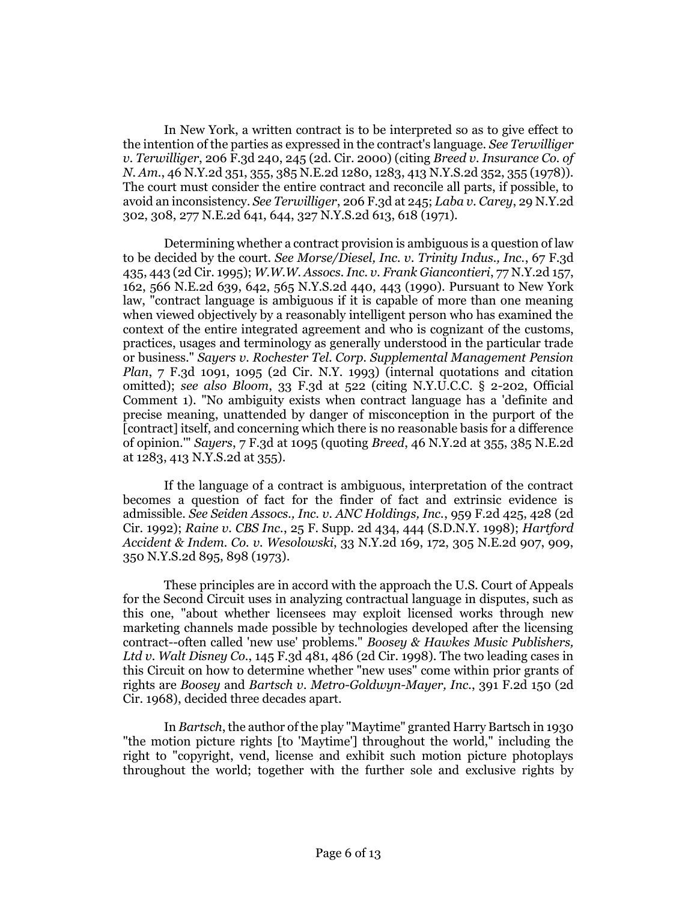In New York, a written contract is to be interpreted so as to give effect to the intention of the parties as expressed in the contract's language. *See Terwilliger v. Terwilliger*, 206 F.3d 240, 245 (2d. Cir. 2000) (citing *Breed v. Insurance Co. of N. Am.*, 46 N.Y.2d 351, 355, 385 N.E.2d 1280, 1283, 413 N.Y.S.2d 352, 355 (1978)). The court must consider the entire contract and reconcile all parts, if possible, to avoid an inconsistency. *See Terwilliger*, 206 F.3d at 245; *Laba v. Carey*, 29 N.Y.2d 302, 308, 277 N.E.2d 641, 644, 327 N.Y.S.2d 613, 618 (1971).

Determining whether a contract provision is ambiguous is a question of law to be decided by the court. *See Morse/Diesel, Inc. v. Trinity Indus., Inc.*, 67 F.3d 435, 443 (2d Cir. 1995); *W.W.W. Assocs. Inc. v. Frank Giancontieri*, 77 N.Y.2d 157, 162, 566 N.E.2d 639, 642, 565 N.Y.S.2d 440, 443 (1990). Pursuant to New York law, "contract language is ambiguous if it is capable of more than one meaning when viewed objectively by a reasonably intelligent person who has examined the context of the entire integrated agreement and who is cognizant of the customs, practices, usages and terminology as generally understood in the particular trade or business." *Sayers v. Rochester Tel. Corp. Supplemental Management Pension Plan*, 7 F.3d 1091, 1095 (2d Cir. N.Y. 1993) (internal quotations and citation omitted); *see also Bloom*, 33 F.3d at 522 (citing N.Y.U.C.C. § 2-202, Official Comment 1). "No ambiguity exists when contract language has a 'definite and precise meaning, unattended by danger of misconception in the purport of the [contract] itself, and concerning which there is no reasonable basis for a difference of opinion.'" *Sayers*, 7 F.3d at 1095 (quoting *Breed*, 46 N.Y.2d at 355, 385 N.E.2d at 1283, 413 N.Y.S.2d at 355).

If the language of a contract is ambiguous, interpretation of the contract becomes a question of fact for the finder of fact and extrinsic evidence is admissible. *See Seiden Assocs., Inc. v. ANC Holdings, Inc.*, 959 F.2d 425, 428 (2d Cir. 1992); *Raine v. CBS Inc.*, 25 F. Supp. 2d 434, 444 (S.D.N.Y. 1998); *Hartford Accident & Indem. Co. v. Wesolowski*, 33 N.Y.2d 169, 172, 305 N.E.2d 907, 909, 350 N.Y.S.2d 895, 898 (1973).

These principles are in accord with the approach the U.S. Court of Appeals for the Second Circuit uses in analyzing contractual language in disputes, such as this one, "about whether licensees may exploit licensed works through new marketing channels made possible by technologies developed after the licensing contract--often called 'new use' problems." *Boosey & Hawkes Music Publishers, Ltd v. Walt Disney Co.*, 145 F.3d 481, 486 (2d Cir. 1998). The two leading cases in this Circuit on how to determine whether "new uses" come within prior grants of rights are *Boosey* and *Bartsch v. Metro-Goldwyn-Mayer, Inc.*, 391 F.2d 150 (2d Cir. 1968), decided three decades apart.

In *Bartsch*, the author of the play "Maytime" granted Harry Bartsch in 1930 "the motion picture rights [to 'Maytime'] throughout the world," including the right to "copyright, vend, license and exhibit such motion picture photoplays throughout the world; together with the further sole and exclusive rights by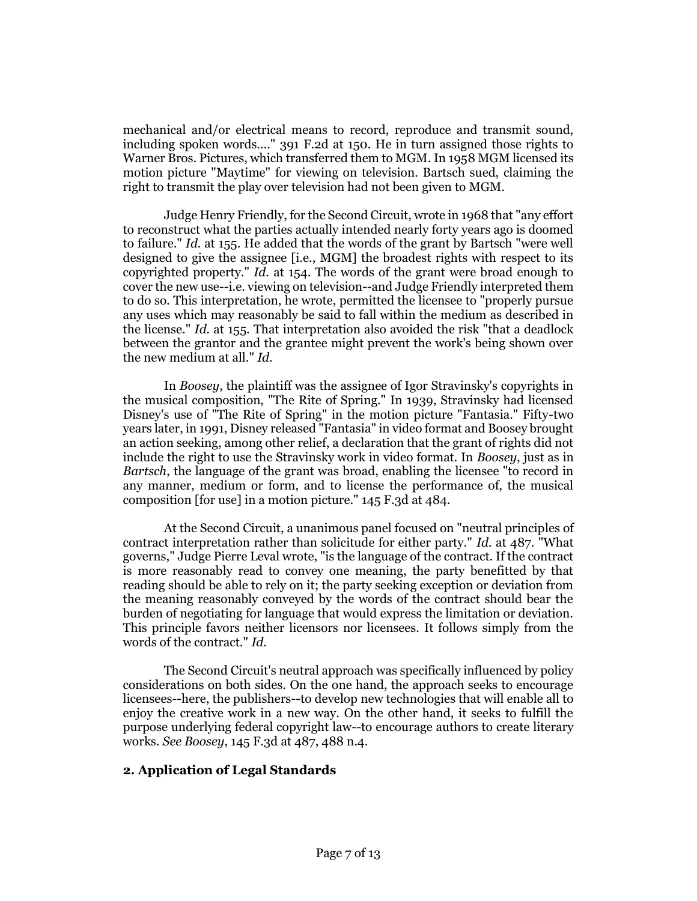mechanical and/or electrical means to record, reproduce and transmit sound, including spoken words…." 391 F.2d at 150. He in turn assigned those rights to Warner Bros. Pictures, which transferred them to MGM. In 1958 MGM licensed its motion picture "Maytime" for viewing on television. Bartsch sued, claiming the right to transmit the play over television had not been given to MGM.

Judge Henry Friendly, for the Second Circuit, wrote in 1968 that "any effort to reconstruct what the parties actually intended nearly forty years ago is doomed to failure." *Id.* at 155. He added that the words of the grant by Bartsch "were well designed to give the assignee [i.e., MGM] the broadest rights with respect to its copyrighted property." *Id.* at 154. The words of the grant were broad enough to cover the new use--i.e. viewing on television--and Judge Friendly interpreted them to do so. This interpretation, he wrote, permitted the licensee to "properly pursue any uses which may reasonably be said to fall within the medium as described in the license." *Id.* at 155. That interpretation also avoided the risk "that a deadlock between the grantor and the grantee might prevent the work's being shown over the new medium at all." *Id.*

In *Boosey*, the plaintiff was the assignee of Igor Stravinsky's copyrights in the musical composition, "The Rite of Spring." In 1939, Stravinsky had licensed Disney's use of "The Rite of Spring" in the motion picture "Fantasia." Fifty-two years later, in 1991, Disney released "Fantasia" in video format and Boosey brought an action seeking, among other relief, a declaration that the grant of rights did not include the right to use the Stravinsky work in video format. In *Boosey*, just as in *Bartsch*, the language of the grant was broad, enabling the licensee "to record in any manner, medium or form, and to license the performance of, the musical composition [for use] in a motion picture." 145 F.3d at 484.

At the Second Circuit, a unanimous panel focused on "neutral principles of contract interpretation rather than solicitude for either party." *Id.* at 487. "What governs," Judge Pierre Leval wrote, "is the language of the contract. If the contract is more reasonably read to convey one meaning, the party benefitted by that reading should be able to rely on it; the party seeking exception or deviation from the meaning reasonably conveyed by the words of the contract should bear the burden of negotiating for language that would express the limitation or deviation. This principle favors neither licensors nor licensees. It follows simply from the words of the contract." *Id.*

The Second Circuit's neutral approach was specifically influenced by policy considerations on both sides. On the one hand, the approach seeks to encourage licensees--here, the publishers--to develop new technologies that will enable all to enjoy the creative work in a new way. On the other hand, it seeks to fulfill the purpose underlying federal copyright law--to encourage authors to create literary works. *See Boosey*, 145 F.3d at 487, 488 n.4.

## **2. Application of Legal Standards**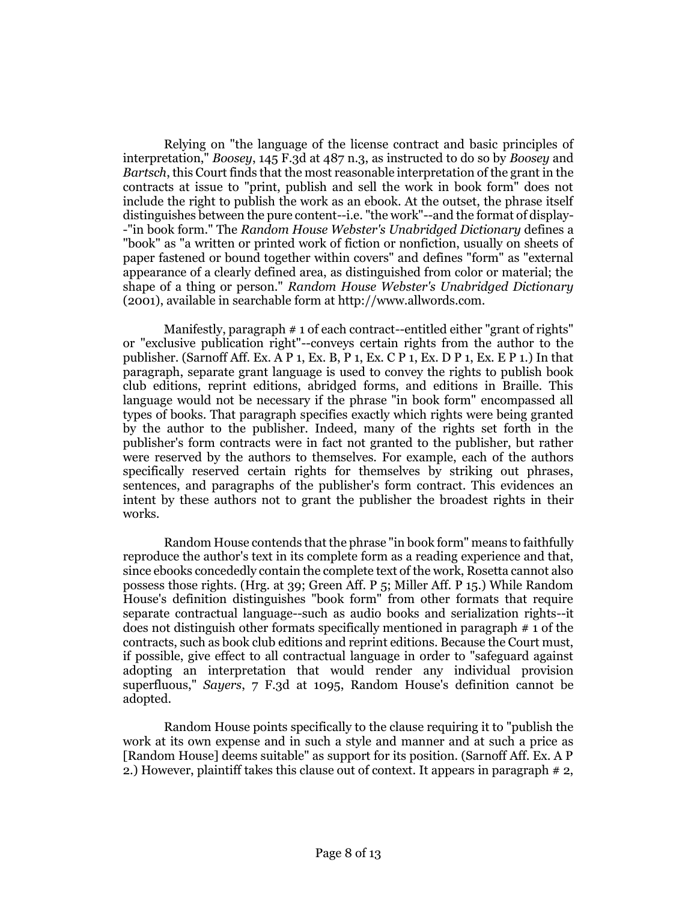Relying on "the language of the license contract and basic principles of interpretation," *Boosey*, 145 F.3d at 487 n.3, as instructed to do so by *Boosey* and *Bartsch*, this Court finds that the most reasonable interpretation of the grant in the contracts at issue to "print, publish and sell the work in book form" does not include the right to publish the work as an ebook. At the outset, the phrase itself distinguishes between the pure content--i.e. "the work"--and the format of display- -"in book form." The *Random House Webster's Unabridged Dictionary* defines a "book" as "a written or printed work of fiction or nonfiction, usually on sheets of paper fastened or bound together within covers" and defines "form" as "external appearance of a clearly defined area, as distinguished from color or material; the shape of a thing or person." *Random House Webster's Unabridged Dictionary* (2001), available in searchable form at http://www.allwords.com.

Manifestly, paragraph # 1 of each contract--entitled either "grant of rights" or "exclusive publication right"--conveys certain rights from the author to the publisher. (Sarnoff Aff. Ex. A P 1, Ex. B, P 1, Ex. C P 1, Ex. D P 1, Ex. E P 1.) In that paragraph, separate grant language is used to convey the rights to publish book club editions, reprint editions, abridged forms, and editions in Braille. This language would not be necessary if the phrase "in book form" encompassed all types of books. That paragraph specifies exactly which rights were being granted by the author to the publisher. Indeed, many of the rights set forth in the publisher's form contracts were in fact not granted to the publisher, but rather were reserved by the authors to themselves. For example, each of the authors specifically reserved certain rights for themselves by striking out phrases, sentences, and paragraphs of the publisher's form contract. This evidences an intent by these authors not to grant the publisher the broadest rights in their works.

Random House contends that the phrase "in book form" means to faithfully reproduce the author's text in its complete form as a reading experience and that, since ebooks concededly contain the complete text of the work, Rosetta cannot also possess those rights. (Hrg. at 39; Green Aff. P 5; Miller Aff. P 15.) While Random House's definition distinguishes "book form" from other formats that require separate contractual language--such as audio books and serialization rights--it does not distinguish other formats specifically mentioned in paragraph # 1 of the contracts, such as book club editions and reprint editions. Because the Court must, if possible, give effect to all contractual language in order to "safeguard against adopting an interpretation that would render any individual provision superfluous," *Sayers*, 7 F.3d at 1095, Random House's definition cannot be adopted.

Random House points specifically to the clause requiring it to "publish the work at its own expense and in such a style and manner and at such a price as [Random House] deems suitable" as support for its position. (Sarnoff Aff. Ex. A P 2.) However, plaintiff takes this clause out of context. It appears in paragraph # 2,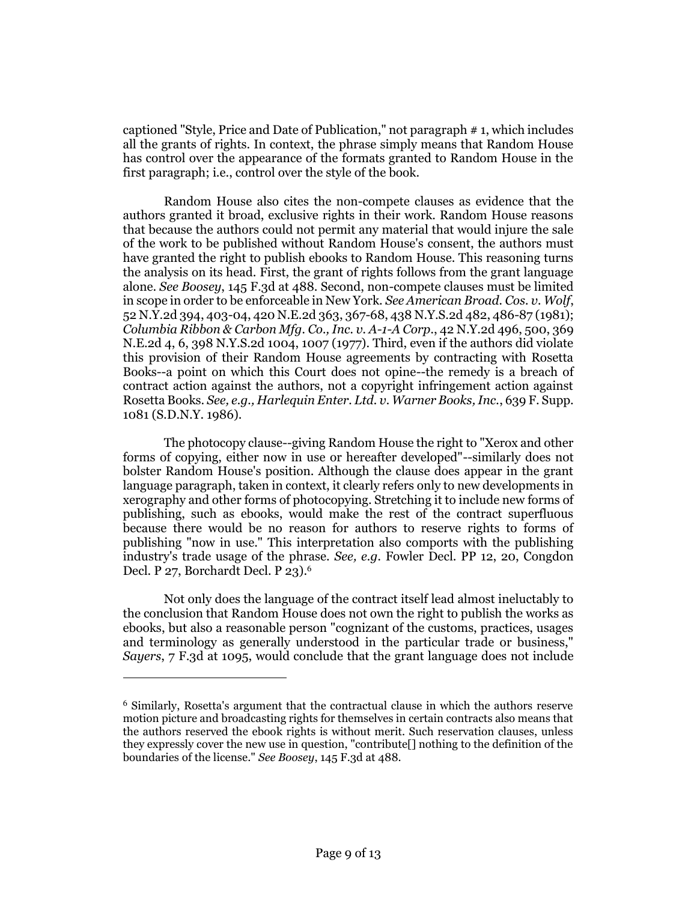captioned "Style, Price and Date of Publication," not paragraph # 1, which includes all the grants of rights. In context, the phrase simply means that Random House has control over the appearance of the formats granted to Random House in the first paragraph; i.e., control over the style of the book.

Random House also cites the non-compete clauses as evidence that the authors granted it broad, exclusive rights in their work. Random House reasons that because the authors could not permit any material that would injure the sale of the work to be published without Random House's consent, the authors must have granted the right to publish ebooks to Random House. This reasoning turns the analysis on its head. First, the grant of rights follows from the grant language alone. *See Boosey*, 145 F.3d at 488. Second, non-compete clauses must be limited in scope in order to be enforceable in New York. *See American Broad. Cos. v. Wolf*, 52 N.Y.2d 394, 403-04, 420 N.E.2d 363, 367-68, 438 N.Y.S.2d 482, 486-87 (1981); *Columbia Ribbon & Carbon Mfg. Co., Inc. v. A-1-A Corp.*, 42 N.Y.2d 496, 500, 369 N.E.2d 4, 6, 398 N.Y.S.2d 1004, 1007 (1977). Third, even if the authors did violate this provision of their Random House agreements by contracting with Rosetta Books--a point on which this Court does not opine--the remedy is a breach of contract action against the authors, not a copyright infringement action against Rosetta Books. *See, e.g., Harlequin Enter. Ltd. v. Warner Books, Inc.*, 639 F. Supp. 1081 (S.D.N.Y. 1986).

The photocopy clause--giving Random House the right to "Xerox and other forms of copying, either now in use or hereafter developed"--similarly does not bolster Random House's position. Although the clause does appear in the grant language paragraph, taken in context, it clearly refers only to new developments in xerography and other forms of photocopying. Stretching it to include new forms of publishing, such as ebooks, would make the rest of the contract superfluous because there would be no reason for authors to reserve rights to forms of publishing "now in use." This interpretation also comports with the publishing industry's trade usage of the phrase. *See, e.g.* Fowler Decl. PP 12, 20, Congdon Decl. P 27, Borchardt Decl. P 23).<sup>6</sup>

Not only does the language of the contract itself lead almost ineluctably to the conclusion that Random House does not own the right to publish the works as ebooks, but also a reasonable person "cognizant of the customs, practices, usages and terminology as generally understood in the particular trade or business," *Sayers*, 7 F.3d at 1095, would conclude that the grant language does not include

 $\overline{a}$ 

<sup>6</sup> Similarly, Rosetta's argument that the contractual clause in which the authors reserve motion picture and broadcasting rights for themselves in certain contracts also means that the authors reserved the ebook rights is without merit. Such reservation clauses, unless they expressly cover the new use in question, "contribute[] nothing to the definition of the boundaries of the license." *See Boosey*, 145 F.3d at 488.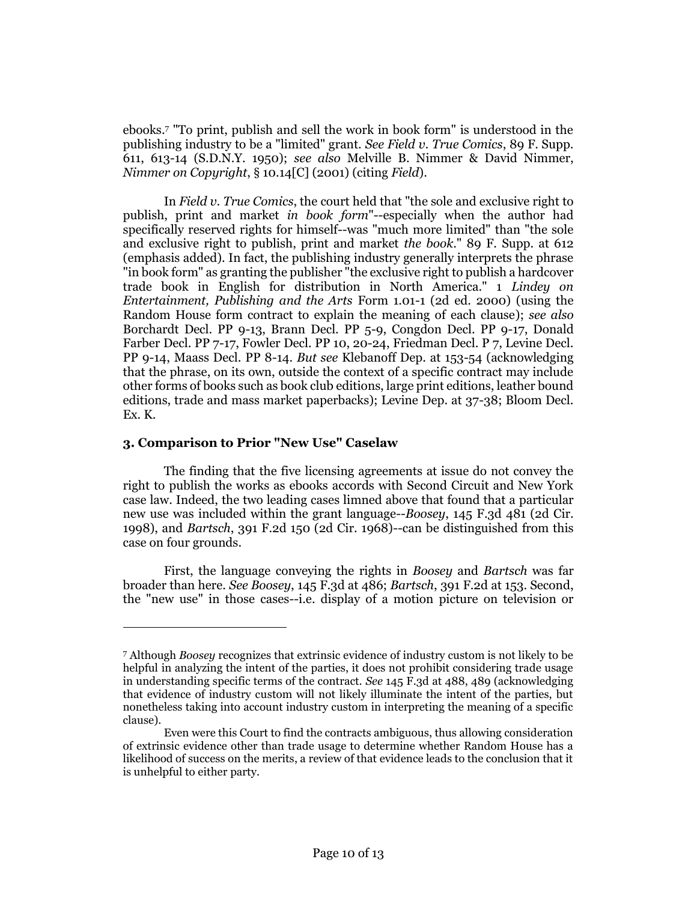ebooks.<sup>7</sup> "To print, publish and sell the work in book form" is understood in the publishing industry to be a "limited" grant. *See Field v. True Comics*, 89 F. Supp. 611, 613-14 (S.D.N.Y. 1950); *see also* Melville B. Nimmer & David Nimmer, *Nimmer on Copyright*, § 10.14[C] (2001) (citing *Field*).

In *Field v. True Comics*, the court held that "the sole and exclusive right to publish, print and market *in book form*"--especially when the author had specifically reserved rights for himself--was "much more limited" than "the sole and exclusive right to publish, print and market *the book*." 89 F. Supp. at 612 (emphasis added). In fact, the publishing industry generally interprets the phrase "in book form" as granting the publisher "the exclusive right to publish a hardcover trade book in English for distribution in North America." 1 *Lindey on Entertainment, Publishing and the Arts* Form 1.01-1 (2d ed. 2000) (using the Random House form contract to explain the meaning of each clause); *see also* Borchardt Decl. PP 9-13, Brann Decl. PP 5-9, Congdon Decl. PP 9-17, Donald Farber Decl. PP 7-17, Fowler Decl. PP 10, 20-24, Friedman Decl. P 7, Levine Decl. PP 9-14, Maass Decl. PP 8-14. *But see* Klebanoff Dep. at 153-54 (acknowledging that the phrase, on its own, outside the context of a specific contract may include other forms of books such as book club editions, large print editions, leather bound editions, trade and mass market paperbacks); Levine Dep. at 37-38; Bloom Decl. Ex. K.

#### **3. Comparison to Prior "New Use" Caselaw**

 $\overline{a}$ 

The finding that the five licensing agreements at issue do not convey the right to publish the works as ebooks accords with Second Circuit and New York case law. Indeed, the two leading cases limned above that found that a particular new use was included within the grant language--*Boosey*, 145 F.3d 481 (2d Cir. 1998), and *Bartsch*, 391 F.2d 150 (2d Cir. 1968)--can be distinguished from this case on four grounds.

First, the language conveying the rights in *Boosey* and *Bartsch* was far broader than here. *See Boosey*, 145 F.3d at 486; *Bartsch*, 391 F.2d at 153. Second, the "new use" in those cases--i.e. display of a motion picture on television or

<sup>7</sup> Although *Boosey* recognizes that extrinsic evidence of industry custom is not likely to be helpful in analyzing the intent of the parties, it does not prohibit considering trade usage in understanding specific terms of the contract. *See* 145 F.3d at 488, 489 (acknowledging that evidence of industry custom will not likely illuminate the intent of the parties, but nonetheless taking into account industry custom in interpreting the meaning of a specific clause).

Even were this Court to find the contracts ambiguous, thus allowing consideration of extrinsic evidence other than trade usage to determine whether Random House has a likelihood of success on the merits, a review of that evidence leads to the conclusion that it is unhelpful to either party.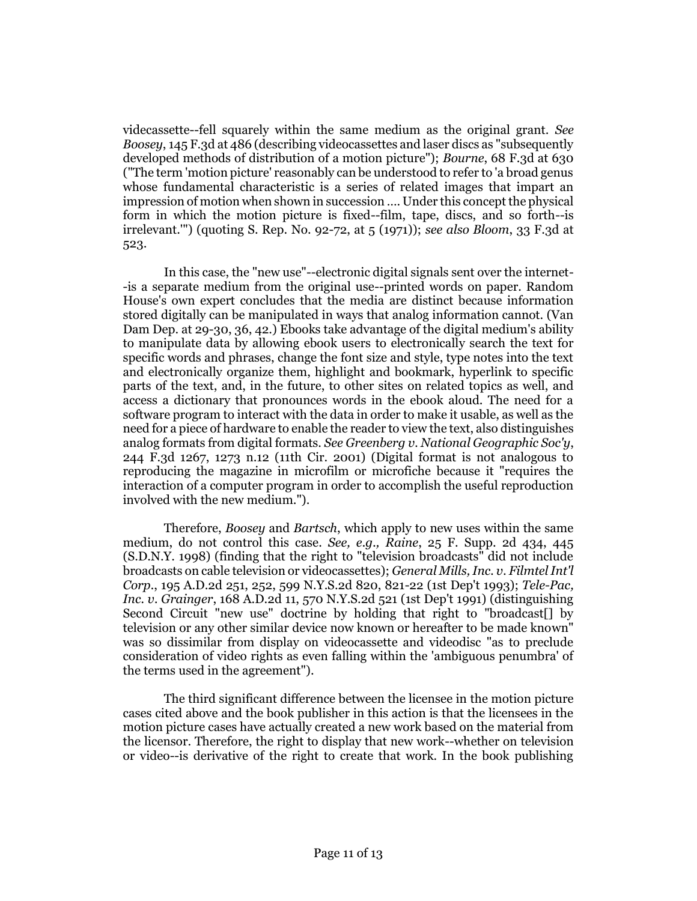videcassette--fell squarely within the same medium as the original grant. *See Boosey*, 145 F.3d at 486 (describing videocassettes and laser discs as "subsequently developed methods of distribution of a motion picture"); *Bourne*, 68 F.3d at 630 ("The term 'motion picture' reasonably can be understood to refer to 'a broad genus whose fundamental characteristic is a series of related images that impart an impression of motion when shown in succession …. Under this concept the physical form in which the motion picture is fixed--film, tape, discs, and so forth--is irrelevant.'") (quoting S. Rep. No. 92-72, at 5 (1971)); *see also Bloom*, 33 F.3d at 523.

In this case, the "new use"--electronic digital signals sent over the internet- -is a separate medium from the original use--printed words on paper. Random House's own expert concludes that the media are distinct because information stored digitally can be manipulated in ways that analog information cannot. (Van Dam Dep. at 29-30, 36, 42.) Ebooks take advantage of the digital medium's ability to manipulate data by allowing ebook users to electronically search the text for specific words and phrases, change the font size and style, type notes into the text and electronically organize them, highlight and bookmark, hyperlink to specific parts of the text, and, in the future, to other sites on related topics as well, and access a dictionary that pronounces words in the ebook aloud. The need for a software program to interact with the data in order to make it usable, as well as the need for a piece of hardware to enable the reader to view the text, also distinguishes analog formats from digital formats. *See Greenberg v. National Geographic Soc'y*, 244 F.3d 1267, 1273 n.12 (11th Cir. 2001) (Digital format is not analogous to reproducing the magazine in microfilm or microfiche because it "requires the interaction of a computer program in order to accomplish the useful reproduction involved with the new medium.").

Therefore, *Boosey* and *Bartsch*, which apply to new uses within the same medium, do not control this case. *See, e.g., Raine*, 25 F. Supp. 2d 434, 445 (S.D.N.Y. 1998) (finding that the right to "television broadcasts" did not include broadcasts on cable television or videocassettes); *General Mills, Inc. v. Filmtel Int'l Corp.*, 195 A.D.2d 251, 252, 599 N.Y.S.2d 820, 821-22 (1st Dep't 1993); *Tele-Pac, Inc. v. Grainger*, 168 A.D.2d 11, 570 N.Y.S.2d 521 (1st Dep't 1991) (distinguishing Second Circuit "new use" doctrine by holding that right to "broadcast[] by television or any other similar device now known or hereafter to be made known" was so dissimilar from display on videocassette and videodisc "as to preclude consideration of video rights as even falling within the 'ambiguous penumbra' of the terms used in the agreement").

The third significant difference between the licensee in the motion picture cases cited above and the book publisher in this action is that the licensees in the motion picture cases have actually created a new work based on the material from the licensor. Therefore, the right to display that new work--whether on television or video--is derivative of the right to create that work. In the book publishing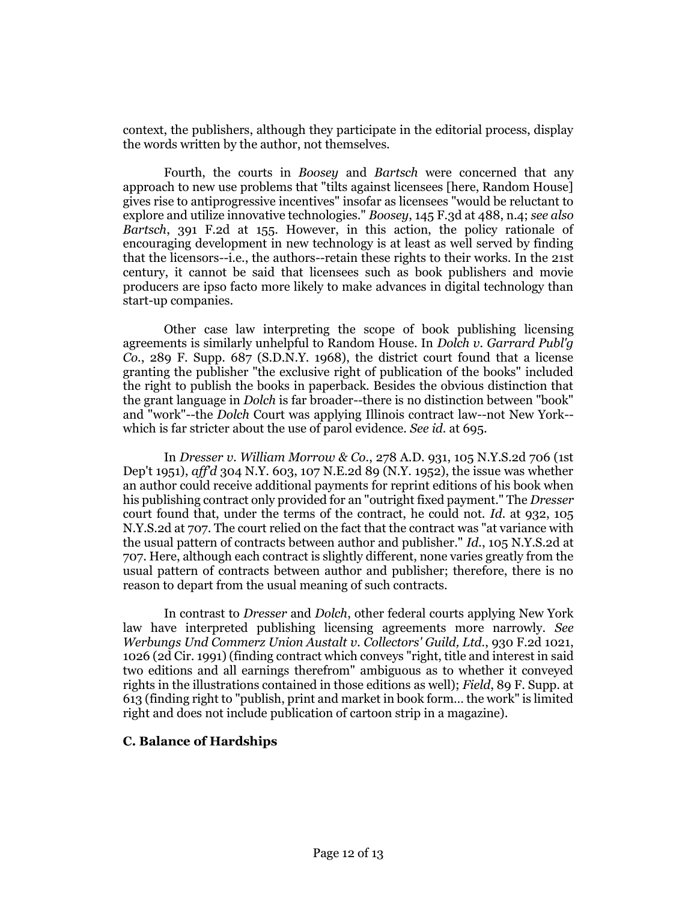context, the publishers, although they participate in the editorial process, display the words written by the author, not themselves.

Fourth, the courts in *Boosey* and *Bartsch* were concerned that any approach to new use problems that "tilts against licensees [here, Random House] gives rise to antiprogressive incentives" insofar as licensees "would be reluctant to explore and utilize innovative technologies." *Boosey*, 145 F.3d at 488, n.4; *see also Bartsch*, 391 F.2d at 155. However, in this action, the policy rationale of encouraging development in new technology is at least as well served by finding that the licensors--i.e., the authors--retain these rights to their works. In the 21st century, it cannot be said that licensees such as book publishers and movie producers are ipso facto more likely to make advances in digital technology than start-up companies.

Other case law interpreting the scope of book publishing licensing agreements is similarly unhelpful to Random House. In *Dolch v. Garrard Publ'g Co.*, 289 F. Supp. 687 (S.D.N.Y. 1968), the district court found that a license granting the publisher "the exclusive right of publication of the books" included the right to publish the books in paperback. Besides the obvious distinction that the grant language in *Dolch* is far broader--there is no distinction between "book" and "work"--the *Dolch* Court was applying Illinois contract law--not New York- which is far stricter about the use of parol evidence. *See id.* at 695.

In *Dresser v. William Morrow & Co.*, 278 A.D. 931, 105 N.Y.S.2d 706 (1st Dep't 1951), *aff'd* 304 N.Y. 603, 107 N.E.2d 89 (N.Y. 1952), the issue was whether an author could receive additional payments for reprint editions of his book when his publishing contract only provided for an "outright fixed payment." The *Dresser* court found that, under the terms of the contract, he could not. *Id.* at 932, 105 N.Y.S.2d at 707. The court relied on the fact that the contract was "at variance with the usual pattern of contracts between author and publisher." *Id.*, 105 N.Y.S.2d at 707. Here, although each contract is slightly different, none varies greatly from the usual pattern of contracts between author and publisher; therefore, there is no reason to depart from the usual meaning of such contracts.

In contrast to *Dresser* and *Dolch*, other federal courts applying New York law have interpreted publishing licensing agreements more narrowly. *See Werbungs Und Commerz Union Austalt v. Collectors' Guild, Ltd.*, 930 F.2d 1021, 1026 (2d Cir. 1991) (finding contract which conveys "right, title and interest in said two editions and all earnings therefrom" ambiguous as to whether it conveyed rights in the illustrations contained in those editions as well); *Field*, 89 F. Supp. at 613 (finding right to "publish, print and market in book form… the work" is limited right and does not include publication of cartoon strip in a magazine).

## **C. Balance of Hardships**